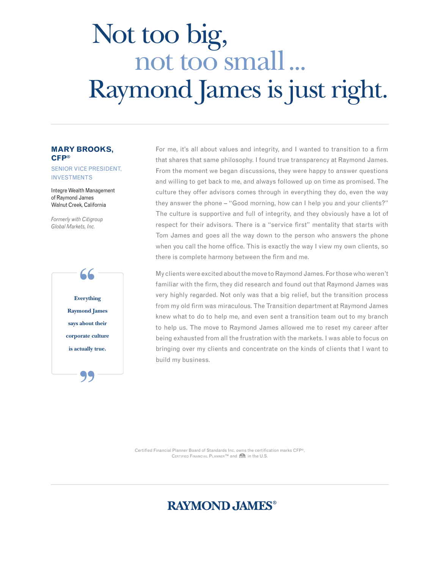# not too small ... Raymond James is just right. Not too big,

## **Mary Brooks, CFP®**

#### Senior Vice President, **INVESTMENTS**

Integre Wealth Management of Raymond James Walnut Creek, California

*Formerly with Citigroup Global Markets, Inc.* 



For me, it's all about values and integrity, and I wanted to transition to a firm that shares that same philosophy. I found true transparency at Raymond James. From the moment we began discussions, they were happy to answer questions and willing to get back to me, and always followed up on time as promised. The culture they offer advisors comes through in everything they do, even the way they answer the phone – "Good morning, how can I help you and your clients?" The culture is supportive and full of integrity, and they obviously have a lot of respect for their advisors. There is a "service first" mentality that starts with Tom James and goes all the way down to the person who answers the phone when you call the home office. This is exactly the way I view my own clients, so there is complete harmony between the firm and me.

My clients were excited about the move to Raymond James. For those who weren't familiar with the firm, they did research and found out that Raymond James was very highly regarded. Not only was that a big relief, but the transition process from my old firm was miraculous. The Transition department at Raymond James knew what to do to help me, and even sent a transition team out to my branch to help us. The move to Raymond James allowed me to reset my career after being exhausted from all the frustration with the markets. I was able to focus on bringing over my clients and concentrate on the kinds of clients that I want to build my business.

Certified Financial Planner Board of Standards Inc. owns the certification marks CFP®, CERTIFIED FINANCIAL PLANNER™ and CFR in the U.S.

# **RAYMOND, JAMES®**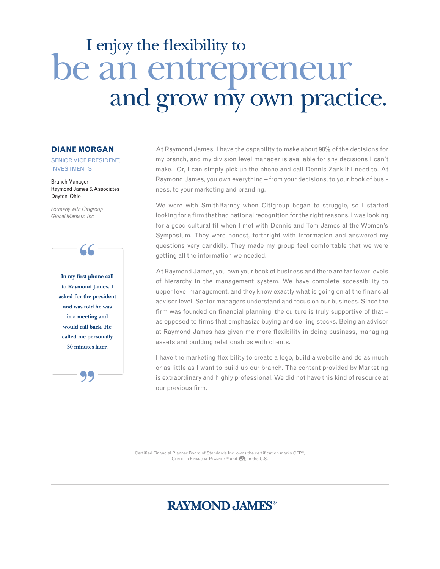# I enjoy the flexibility to be an entrepreneur<br>and grow my own practice.

#### **Diane Morgan**

Senior Vice President, **INVESTMENTS** 

Branch Manager Raymond James & Associates Dayton, Ohio

*Formerly with Citigroup Global Markets, Inc.*

> 99 **In my first phone call**  " **to Raymond James, I asked for the president and was told he was in a meeting and would call back. He called me personally 30 minutes later.**

At Raymond James, I have the capability to make about 98% of the decisions for my branch, and my division level manager is available for any decisions I can't make. Or, I can simply pick up the phone and call Dennis Zank if I need to. At Raymond James, you own everything – from your decisions, to your book of business, to your marketing and branding.

We were with SmithBarney when Citigroup began to struggle, so I started looking for a firm that had national recognition for the right reasons. I was looking for a good cultural fit when I met with Dennis and Tom James at the Women's Symposium. They were honest, forthright with information and answered my questions very candidly. They made my group feel comfortable that we were getting all the information we needed.

At Raymond James, you own your book of business and there are far fewer levels of hierarchy in the management system. We have complete accessibility to upper level management, and they know exactly what is going on at the financial advisor level. Senior managers understand and focus on our business. Since the firm was founded on financial planning, the culture is truly supportive of that – as opposed to firms that emphasize buying and selling stocks. Being an advisor at Raymond James has given me more flexibility in doing business, managing assets and building relationships with clients.

I have the marketing flexibility to create a logo, build a website and do as much or as little as I want to build up our branch. The content provided by Marketing is extraordinary and highly professional. We did not have this kind of resource at our previous firm.

Certified Financial Planner Board of Standards Inc. owns the certification marks CFP®, CERTIFIED FINANCIAL PLANNER™ and CFR in the U.S.

## **RAYMOND, JAMES®**